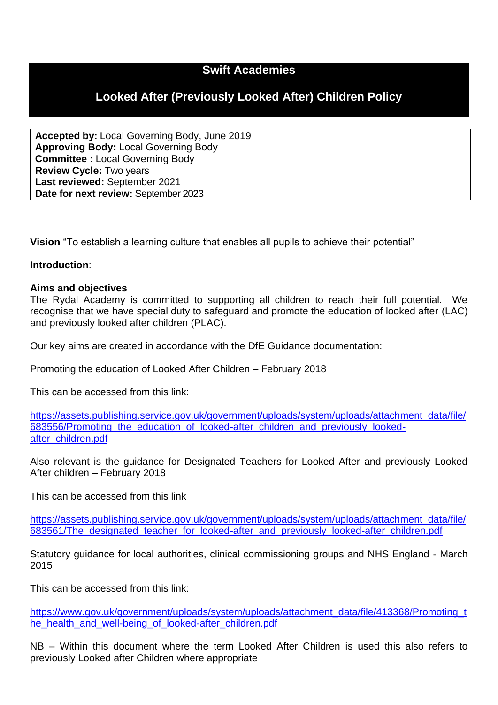## **Swift Academies**

# **Looked After (Previously Looked After) Children Policy**

**Accepted by:** Local Governing Body, June 2019 **Approving Body:** Local Governing Body **Committee :** Local Governing Body **Review Cycle:** Two years **Last reviewed:** September 2021 **Date for next review:** September 2023

**Vision** "To establish a learning culture that enables all pupils to achieve their potential"

### **Introduction**:

#### **Aims and objectives**

The Rydal Academy is committed to supporting all children to reach their full potential. We recognise that we have special duty to safeguard and promote the education of looked after (LAC) and previously looked after children (PLAC).

Our key aims are created in accordance with the DfE Guidance documentation:

Promoting the education of Looked After Children – February 2018

This can be accessed from this link:

[https://assets.publishing.service.gov.uk/government/uploads/system/uploads/attachment\\_data/file/](https://assets.publishing.service.gov.uk/government/uploads/system/uploads/attachment_data/file/683556/Promoting_the_education_of_looked-after_children_and_previously_looked-after_children.pdf) [683556/Promoting\\_the\\_education\\_of\\_looked-after\\_children\\_and\\_previously\\_looked](https://assets.publishing.service.gov.uk/government/uploads/system/uploads/attachment_data/file/683556/Promoting_the_education_of_looked-after_children_and_previously_looked-after_children.pdf)[after\\_children.pdf](https://assets.publishing.service.gov.uk/government/uploads/system/uploads/attachment_data/file/683556/Promoting_the_education_of_looked-after_children_and_previously_looked-after_children.pdf)

Also relevant is the guidance for Designated Teachers for Looked After and previously Looked After children – February 2018

This can be accessed from this link

[https://assets.publishing.service.gov.uk/government/uploads/system/uploads/attachment\\_data/file/](https://assets.publishing.service.gov.uk/government/uploads/system/uploads/attachment_data/file/683561/The_designated_teacher_for_looked-after_and_previously_looked-after_children.pdf) 683561/The designated teacher for looked-after and previously looked-after children.pdf

Statutory guidance for local authorities, clinical commissioning groups and NHS England - March 2015

This can be accessed from this link:

[https://www.gov.uk/government/uploads/system/uploads/attachment\\_data/file/413368/Promoting\\_t](https://www.gov.uk/government/uploads/system/uploads/attachment_data/file/413368/Promoting_the_health_and_well-being_of_looked-after_children.pdf) he health and well-being of looked-after children.pdf

NB – Within this document where the term Looked After Children is used this also refers to previously Looked after Children where appropriate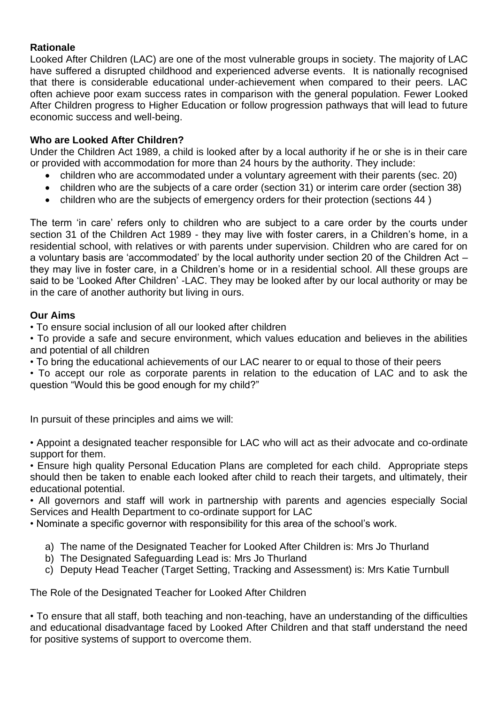### **Rationale**

Looked After Children (LAC) are one of the most vulnerable groups in society. The majority of LAC have suffered a disrupted childhood and experienced adverse events. It is nationally recognised that there is considerable educational under-achievement when compared to their peers. LAC often achieve poor exam success rates in comparison with the general population. Fewer Looked After Children progress to Higher Education or follow progression pathways that will lead to future economic success and well-being.

### **Who are Looked After Children?**

Under the Children Act 1989, a child is looked after by a local authority if he or she is in their care or provided with accommodation for more than 24 hours by the authority. They include:

- children who are accommodated under a voluntary agreement with their parents (sec. 20)
- children who are the subjects of a care order (section 31) or interim care order (section 38)
- children who are the subjects of emergency orders for their protection (sections 44 )

The term 'in care' refers only to children who are subject to a care order by the courts under section 31 of the Children Act 1989 - they may live with foster carers, in a Children's home, in a residential school, with relatives or with parents under supervision. Children who are cared for on a voluntary basis are 'accommodated' by the local authority under section 20 of the Children Act – they may live in foster care, in a Children's home or in a residential school. All these groups are said to be 'Looked After Children' -LAC. They may be looked after by our local authority or may be in the care of another authority but living in ours.

### **Our Aims**

• To ensure social inclusion of all our looked after children

• To provide a safe and secure environment, which values education and believes in the abilities and potential of all children

• To bring the educational achievements of our LAC nearer to or equal to those of their peers

• To accept our role as corporate parents in relation to the education of LAC and to ask the question "Would this be good enough for my child?"

In pursuit of these principles and aims we will:

• Appoint a designated teacher responsible for LAC who will act as their advocate and co-ordinate support for them.

• Ensure high quality Personal Education Plans are completed for each child. Appropriate steps should then be taken to enable each looked after child to reach their targets, and ultimately, their educational potential.

• All governors and staff will work in partnership with parents and agencies especially Social Services and Health Department to co-ordinate support for LAC

• Nominate a specific governor with responsibility for this area of the school's work.

- a) The name of the Designated Teacher for Looked After Children is: Mrs Jo Thurland
- b) The Designated Safeguarding Lead is: Mrs Jo Thurland
- c) Deputy Head Teacher (Target Setting, Tracking and Assessment) is: Mrs Katie Turnbull

The Role of the Designated Teacher for Looked After Children

• To ensure that all staff, both teaching and non-teaching, have an understanding of the difficulties and educational disadvantage faced by Looked After Children and that staff understand the need for positive systems of support to overcome them.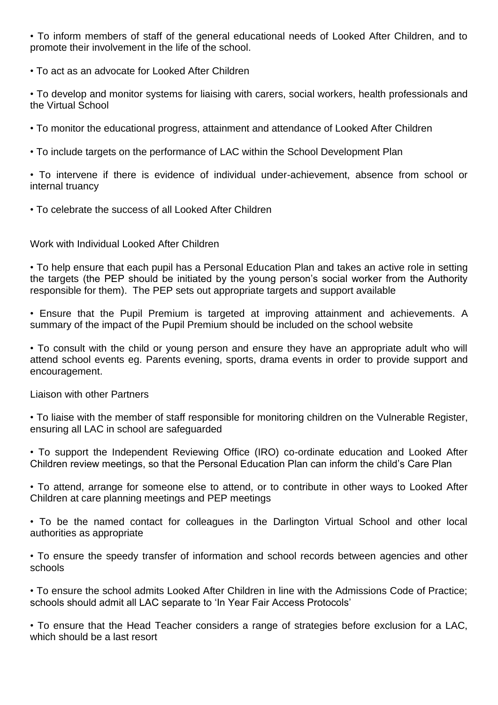• To inform members of staff of the general educational needs of Looked After Children, and to promote their involvement in the life of the school.

• To act as an advocate for Looked After Children

• To develop and monitor systems for liaising with carers, social workers, health professionals and the Virtual School

• To monitor the educational progress, attainment and attendance of Looked After Children

• To include targets on the performance of LAC within the School Development Plan

• To intervene if there is evidence of individual under-achievement, absence from school or internal truancy

• To celebrate the success of all Looked After Children

Work with Individual Looked After Children

• To help ensure that each pupil has a Personal Education Plan and takes an active role in setting the targets (the PEP should be initiated by the young person's social worker from the Authority responsible for them). The PEP sets out appropriate targets and support available

• Ensure that the Pupil Premium is targeted at improving attainment and achievements. A summary of the impact of the Pupil Premium should be included on the school website

• To consult with the child or young person and ensure they have an appropriate adult who will attend school events eg. Parents evening, sports, drama events in order to provide support and encouragement.

#### Liaison with other Partners

• To liaise with the member of staff responsible for monitoring children on the Vulnerable Register, ensuring all LAC in school are safeguarded

• To support the Independent Reviewing Office (IRO) co-ordinate education and Looked After Children review meetings, so that the Personal Education Plan can inform the child's Care Plan

• To attend, arrange for someone else to attend, or to contribute in other ways to Looked After Children at care planning meetings and PEP meetings

• To be the named contact for colleagues in the Darlington Virtual School and other local authorities as appropriate

• To ensure the speedy transfer of information and school records between agencies and other schools

• To ensure the school admits Looked After Children in line with the Admissions Code of Practice; schools should admit all LAC separate to 'In Year Fair Access Protocols'

• To ensure that the Head Teacher considers a range of strategies before exclusion for a LAC, which should be a last resort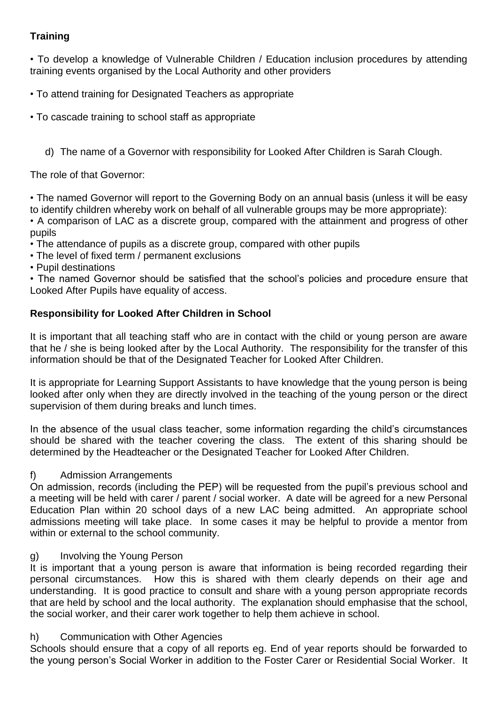### **Training**

• To develop a knowledge of Vulnerable Children / Education inclusion procedures by attending training events organised by the Local Authority and other providers

• To attend training for Designated Teachers as appropriate

- To cascade training to school staff as appropriate
	- d) The name of a Governor with responsibility for Looked After Children is Sarah Clough.

The role of that Governor:

• The named Governor will report to the Governing Body on an annual basis (unless it will be easy to identify children whereby work on behalf of all vulnerable groups may be more appropriate):

• A comparison of LAC as a discrete group, compared with the attainment and progress of other pupils

- The attendance of pupils as a discrete group, compared with other pupils
- The level of fixed term / permanent exclusions
- Pupil destinations

• The named Governor should be satisfied that the school's policies and procedure ensure that Looked After Pupils have equality of access.

### **Responsibility for Looked After Children in School**

It is important that all teaching staff who are in contact with the child or young person are aware that he / she is being looked after by the Local Authority. The responsibility for the transfer of this information should be that of the Designated Teacher for Looked After Children.

It is appropriate for Learning Support Assistants to have knowledge that the young person is being looked after only when they are directly involved in the teaching of the young person or the direct supervision of them during breaks and lunch times.

In the absence of the usual class teacher, some information regarding the child's circumstances should be shared with the teacher covering the class. The extent of this sharing should be determined by the Headteacher or the Designated Teacher for Looked After Children.

### f) Admission Arrangements

On admission, records (including the PEP) will be requested from the pupil's previous school and a meeting will be held with carer / parent / social worker. A date will be agreed for a new Personal Education Plan within 20 school days of a new LAC being admitted. An appropriate school admissions meeting will take place. In some cases it may be helpful to provide a mentor from within or external to the school community.

### g) Involving the Young Person

It is important that a young person is aware that information is being recorded regarding their personal circumstances. How this is shared with them clearly depends on their age and understanding. It is good practice to consult and share with a young person appropriate records that are held by school and the local authority. The explanation should emphasise that the school, the social worker, and their carer work together to help them achieve in school.

### h) Communication with Other Agencies

Schools should ensure that a copy of all reports eg. End of year reports should be forwarded to the young person's Social Worker in addition to the Foster Carer or Residential Social Worker. It